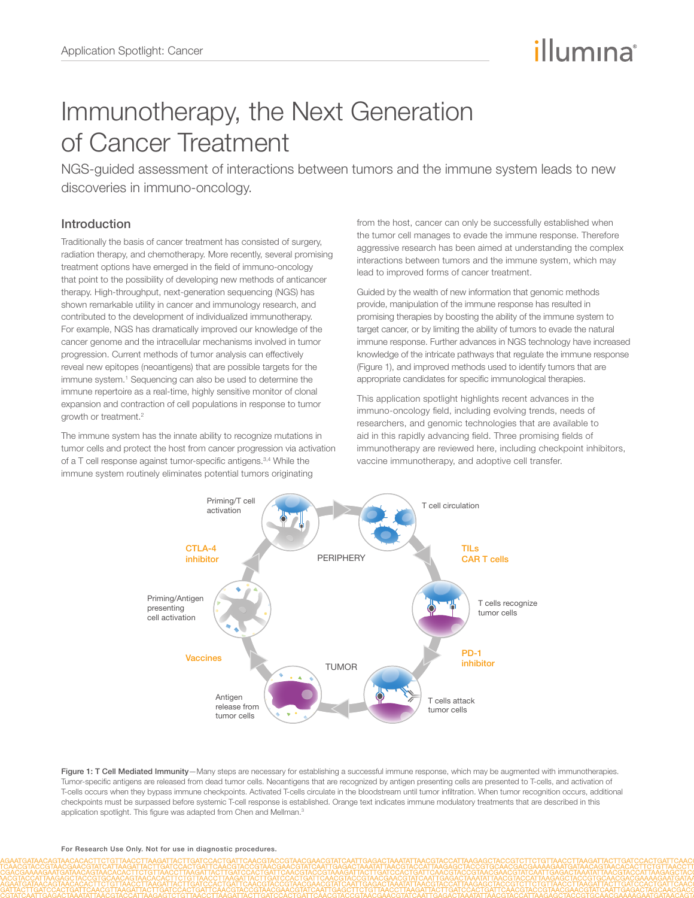# illumına

## Immunotherapy, the Next Generation of Cancer Treatment

NGS-guided assessment of interactions between tumors and the immune system leads to new discoveries in immuno-oncology.

## Introduction

Traditionally the basis of cancer treatment has consisted of surgery, radiation therapy, and chemotherapy. More recently, several promising treatment options have emerged in the field of immuno-oncology that point to the possibility of developing new methods of anticancer therapy. High-throughput, next-generation sequencing (NGS) has shown remarkable utility in cancer and immunology research, and contributed to the development of individualized immunotherapy. For example, NGS has dramatically improved our knowledge of the cancer genome and the intracellular mechanisms involved in tumor progression. Current methods of tumor analysis can effectively reveal new epitopes (neoantigens) that are possible targets for the immune system.<sup>1</sup> Sequencing can also be used to determine the immune repertoire as a real-time, highly sensitive monitor of clonal expansion and contraction of cell populations in response to tumor growth or treatment.<sup>2</sup>

The immune system has the innate ability to recognize mutations in tumor cells and protect the host from cancer progression via activation of a T cell response against tumor-specific antigens.3,4 While the immune system routinely eliminates potential tumors originating

from the host, cancer can only be successfully established when the tumor cell manages to evade the immune response. Therefore aggressive research has been aimed at understanding the complex interactions between tumors and the immune system, which may lead to improved forms of cancer treatment.

Guided by the wealth of new information that genomic methods provide, manipulation of the immune response has resulted in promising therapies by boosting the ability of the immune system to target cancer, or by limiting the ability of tumors to evade the natural immune response. Further advances in NGS technology have increased knowledge of the intricate pathways that regulate the immune response (Figure 1), and improved methods used to identify tumors that are appropriate candidates for specific immunological therapies.

This application spotlight highlights recent advances in the immuno-oncology field, including evolving trends, needs of researchers, and genomic technologies that are available to aid in this rapidly advancing field. Three promising fields of immunotherapy are reviewed here, including checkpoint inhibitors, vaccine immunotherapy, and adoptive cell transfer.



Figure 1: T Cell Mediated Immunity-Many steps are necessary for establishing a successful immune response, which may be augmented with immunotherapies. Tumor-specific antigens are released from dead tumor cells. Neoantigens that are recognized by antigen presenting cells are presented to T-cells, and activation of T-cells occurs when they bypass immune checkpoints. Activated T-cells circulate in the bloodstream until tumor infiltration. When tumor recognition occurs, additional checkpoints must be surpassed before systemic T-cell response is established. Orange text indicates immune modulatory treatments that are described in this application spotlight. This figure was adapted from Chen and Mellman.<sup>3</sup>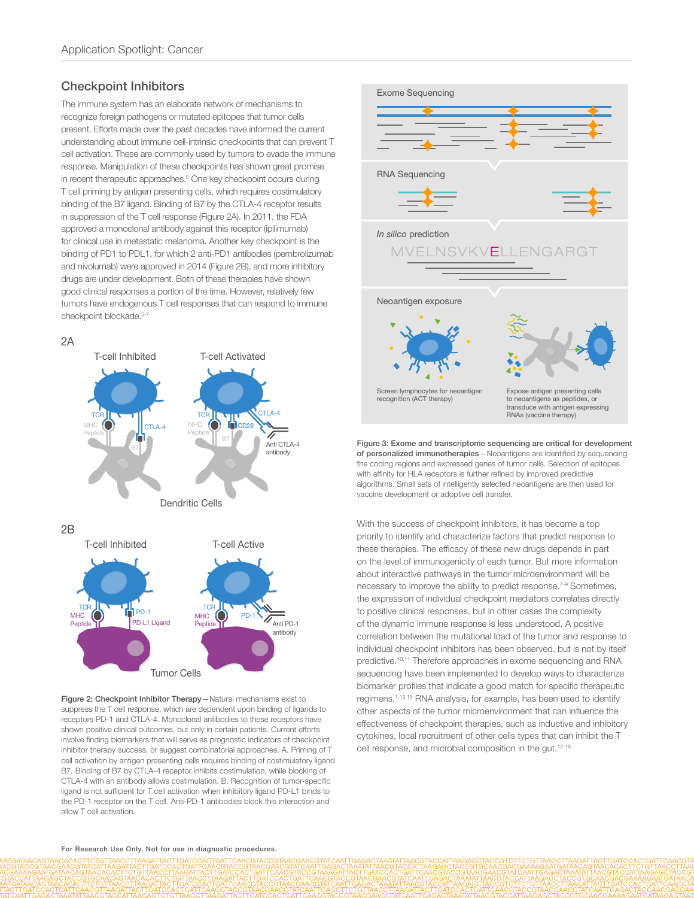## Checkpoint Inhibitors

The immune system has an elaborate network of mechanisms to recognize foreign pathogens or mutated epitopes that tumor cells present. Efforts made over the past decades have informed the current understanding about immune cell-intrinsic checkpoints that can prevent T cell activation. These are commonly used by tumors to evade the immune response. Manipulation of these checkpoints has shown great promise in recent therapeutic approaches.<sup>5</sup> One key checkpoint occurs during T cell priming by antigen presenting cells, which requires costimulatory binding of the B7 ligand. Binding of B7 by the CTLA-4 receptor results in suppression of the T cell response (Figure 2A). In 2011, the FDA approved a monoclonal antibody against this receptor (ipilimumab) for clinical use in metastatic melanoma. Another key checkpoint is the binding of PD1 to PDL1, for which 2 anti-PD1 antibodies (pembrolizumab and nivolumab) were approved in 2014 (Figure 2B), and more inhibitory drugs are under development. Both of these therapies have shown good clinical responses a portion of the time. However, relatively few tumors have endogenous T cell responses that can respond to immune checkpoint blockade.<sup>5-7</sup>



Figure 2: Checkpoint Inhibitor Therapy—Natural mechanisms exist to suppress the T cell response, which are dependent upon binding of ligands to receptors PD-1 and CTLA-4. Monoclonal antibodies to these receptors have shown positive clinical outcomes, but only in certain patients. Current efforts involve finding biomarkers that will serve as prognostic indicators of checkpoint inhibitor therapy success, or suggest combinatorial approaches. A. Priming of T cell activation by antigen presenting cells requires binding of costimulatory ligand B7. Binding of B7 by CTLA-4 receptor inhibits costimulation, while blocking of CTLA-4 with an antibody allows costimulation. B. Recognition of tumor-specific ligand is not sufficient for T cell activation when inhibitory ligand PD-L1 binds to the PD-1 receptor on the T cell. Anti-PD-1 antibodies block this interaction and allow T cell activation.



Figure 3: Exome and transcriptome sequencing are critical for development of personalized immunotherapies—Neoantigens are identified by sequencing the coding regions and expressed genes of tumor cells. Selection of epitopes with affinity for HLA receptors is further refined by improved predictive algorithms. Small sets of intelligently selected neoantigens are then used for vaccine development or adoptive cell transfer.

With the success of checkpoint inhibitors, it has become a top priority to identify and characterize factors that predict response to these therapies. The efficacy of these new drugs depends in part on the level of immunogenicity of each tumor. But more information about interactive pathways in the tumor microenvironment will be necessary to improve the ability to predict response.7-9 Sometimes, the expression of individual checkpoint mediators correlates directly to positive clinical responses, but in other cases the complexity of the dynamic immune response is less understood. A positive correlation between the mutational load of the tumor and response to individual checkpoint inhibitors has been observed, but is not by itself predictive.<sup>10,11</sup> Therefore approaches in exome sequencing and RNA sequencing have been implemented to develop ways to characterize biomarker profiles that indicate a good match for specific therapeutic regimens.1,12,13 RNA analysis, for example, has been used to identify other aspects of the tumor microenvironment that can influence the effectiveness of checkpoint therapies, such as inductive and inhibitory cytokines, local recruitment of other cells types that can inhibit the T cell response, and microbial composition in the gut.12-15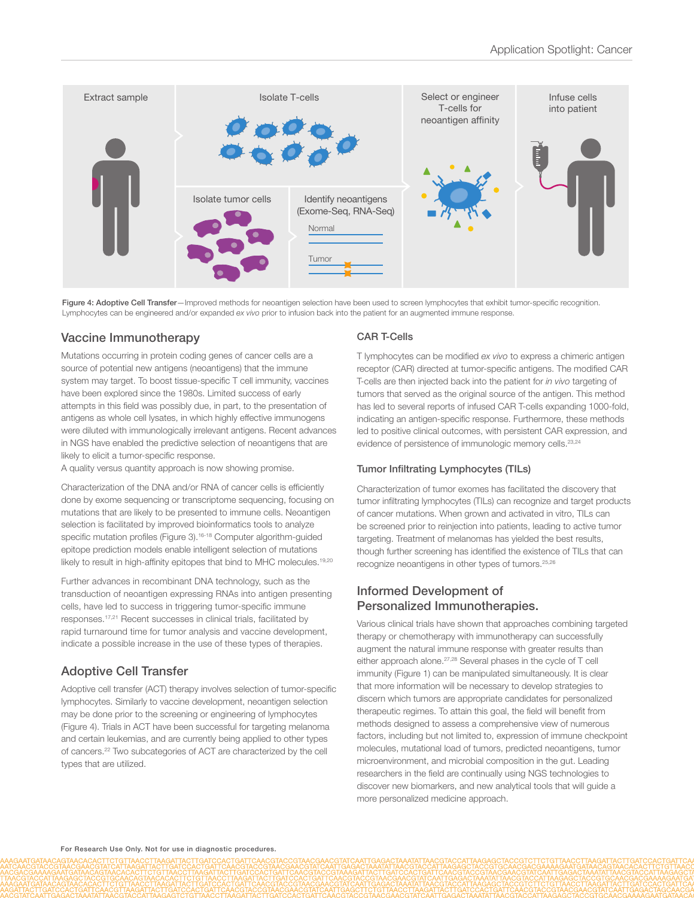

Figure 4: Adoptive Cell Transfer-Improved methods for neoantigen selection have been used to screen lymphocytes that exhibit tumor-specific recognition. Lymphocytes can be engineered and/or expanded *ex vivo* prior to infusion back into the patient for an augmented immune response.

## Vaccine Immunotherapy

Mutations occurring in protein coding genes of cancer cells are a source of potential new antigens (neoantigens) that the immune system may target. To boost tissue-specific T cell immunity, vaccines have been explored since the 1980s. Limited success of early attempts in this field was possibly due, in part, to the presentation of antigens as whole cell lysates, in which highly effective immunogens were diluted with immunologically irrelevant antigens. Recent advances in NGS have enabled the predictive selection of neoantigens that are likely to elicit a tumor-specific response.

A quality versus quantity approach is now showing promise.

Characterization of the DNA and/or RNA of cancer cells is efficiently done by exome sequencing or transcriptome sequencing, focusing on mutations that are likely to be presented to immune cells. Neoantigen selection is facilitated by improved bioinformatics tools to analyze specific mutation profiles (Figure 3).<sup>16-18</sup> Computer algorithm-guided epitope prediction models enable intelligent selection of mutations likely to result in high-affinity epitopes that bind to MHC molecules.<sup>19,20</sup>

Further advances in recombinant DNA technology, such as the transduction of neoantigen expressing RNAs into antigen presenting cells, have led to success in triggering tumor-specific immune responses.17,21 Recent successes in clinical trials, facilitated by rapid turnaround time for tumor analysis and vaccine development, indicate a possible increase in the use of these types of therapies.

## Adoptive Cell Transfer

Adoptive cell transfer (ACT) therapy involves selection of tumor-specific lymphocytes. Similarly to vaccine development, neoantigen selection may be done prior to the screening or engineering of lymphocytes (Figure 4). Trials in ACT have been successful for targeting melanoma and certain leukemias, and are currently being applied to other types of cancers.22 Two subcategories of ACT are characterized by the cell types that are utilized.

#### CAR T-Cells

T lymphocytes can be modified *ex vivo* to express a chimeric antigen receptor (CAR) directed at tumor-specific antigens. The modified CAR T-cells are then injected back into the patient for *in vivo* targeting of tumors that served as the original source of the antigen. This method has led to several reports of infused CAR T-cells expanding 1000-fold, indicating an antigen-specific response. Furthermore, these methods led to positive clinical outcomes, with persistent CAR expression, and evidence of persistence of immunologic memory cells.<sup>23,24</sup>

#### Tumor Infiltrating Lymphocytes (TILs)

Characterization of tumor exomes has facilitated the discovery that tumor infiltrating lymphocytes (TILs) can recognize and target products of cancer mutations. When grown and activated in vitro, TILs can be screened prior to reinjection into patients, leading to active tumor targeting. Treatment of melanomas has yielded the best results, though further screening has identified the existence of TILs that can recognize neoantigens in other types of tumors.25,26

## Informed Development of Personalized Immunotherapies.

Various clinical trials have shown that approaches combining targeted therapy or chemotherapy with immunotherapy can successfully augment the natural immune response with greater results than either approach alone.27,28 Several phases in the cycle of T cell immunity (Figure 1) can be manipulated simultaneously. It is clear that more information will be necessary to develop strategies to discern which tumors are appropriate candidates for personalized therapeutic regimes. To attain this goal, the field will benefit from methods designed to assess a comprehensive view of numerous factors, including but not limited to, expression of immune checkpoint molecules, mutational load of tumors, predicted neoantigens, tumor microenvironment, and microbial composition in the gut. Leading researchers in the field are continually using NGS technologies to discover new biomarkers, and new analytical tools that will guide a more personalized medicine approach.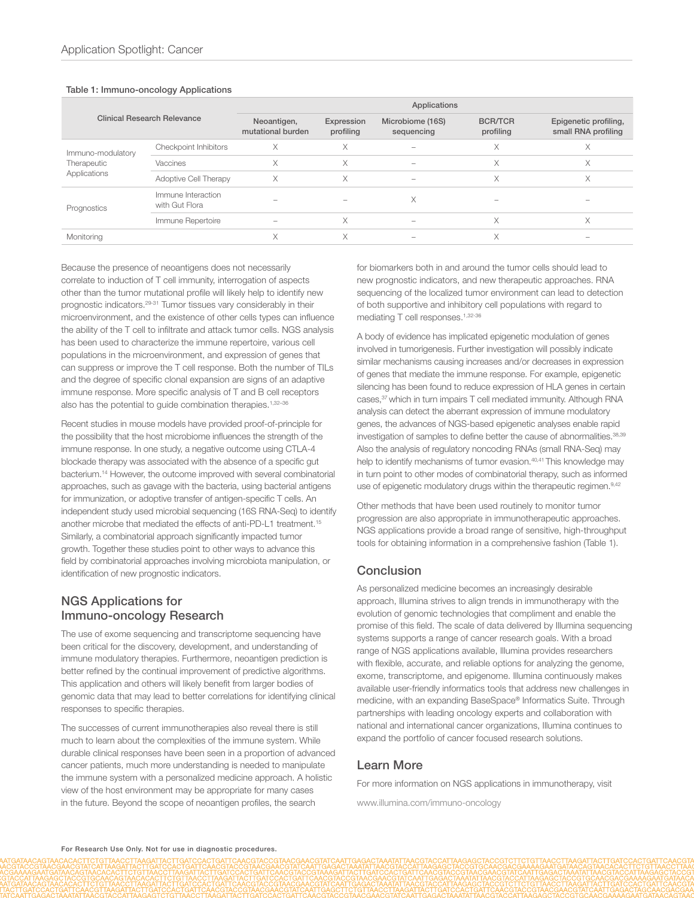#### Table 1: Immuno-oncology Applications

| <b>Clinical Research Relevance</b>               |                                      | Applications                     |                         |                                |                             |                                              |
|--------------------------------------------------|--------------------------------------|----------------------------------|-------------------------|--------------------------------|-----------------------------|----------------------------------------------|
|                                                  |                                      | Neoantigen,<br>mutational burden | Expression<br>profiling | Microbiome (16S)<br>sequencing | <b>BCR/TCR</b><br>profiling | Epigenetic profiling,<br>small RNA profiling |
| Immuno-modulatory<br>Therapeutic<br>Applications | Checkpoint Inhibitors                | X                                | ∧                       |                                | X                           | X                                            |
|                                                  | Vaccines                             | X                                | Χ                       |                                | Χ                           | X                                            |
|                                                  | Adoptive Cell Therapy                | X                                | Χ                       |                                | X                           | X                                            |
| Prognostics                                      | Immune Interaction<br>with Gut Flora |                                  |                         | X                              |                             |                                              |
|                                                  | Immune Repertoire                    |                                  | Χ                       |                                | X                           | X                                            |
| Monitoring                                       |                                      | Χ                                | X                       |                                | X                           | -                                            |

Because the presence of neoantigens does not necessarily correlate to induction of T cell immunity, interrogation of aspects other than the tumor mutational profile will likely help to identify new prognostic indicators.29-31 Tumor tissues vary considerably in their microenvironment, and the existence of other cells types can influence the ability of the T cell to infiltrate and attack tumor cells. NGS analysis has been used to characterize the immune repertoire, various cell populations in the microenvironment, and expression of genes that can suppress or improve the T cell response. Both the number of TILs and the degree of specific clonal expansion are signs of an adaptive immune response. More specific analysis of T and B cell receptors also has the potential to guide combination therapies.1,32–36

Recent studies in mouse models have provided proof-of-principle for the possibility that the host microbiome influences the strength of the immune response. In one study, a negative outcome using CTLA-4 blockade therapy was associated with the absence of a specific gut bacterium.14 However, the outcome improved with several combinatorial approaches, such as gavage with the bacteria, using bacterial antigens for immunization, or adoptive transfer of antigen-specific T cells. An independent study used microbial sequencing (16S RNA-Seq) to identify another microbe that mediated the effects of anti-PD-L1 treatment.15 Similarly, a combinatorial approach significantly impacted tumor growth. Together these studies point to other ways to advance this field by combinatorial approaches involving microbiota manipulation, or identification of new prognostic indicators.

#### NGS Applications for Immuno-oncology Research

The use of exome sequencing and transcriptome sequencing have been critical for the discovery, development, and understanding of immune modulatory therapies. Furthermore, neoantigen prediction is better refined by the continual improvement of predictive algorithms. This application and others will likely benefit from larger bodies of genomic data that may lead to better correlations for identifying clinical responses to specific therapies.

The successes of current immunotherapies also reveal there is still much to learn about the complexities of the immune system. While durable clinical responses have been seen in a proportion of advanced cancer patients, much more understanding is needed to manipulate the immune system with a personalized medicine approach. A holistic view of the host environment may be appropriate for many cases in the future. Beyond the scope of neoantigen profiles, the search

for biomarkers both in and around the tumor cells should lead to new prognostic indicators, and new therapeutic approaches. RNA sequencing of the localized tumor environment can lead to detection of both supportive and inhibitory cell populations with regard to mediating T cell responses.1,32-36

A body of evidence has implicated epigenetic modulation of genes involved in tumorigenesis. Further investigation will possibly indicate similar mechanisms causing increases and/or decreases in expression of genes that mediate the immune response. For example, epigenetic silencing has been found to reduce expression of HLA genes in certain cases,<sup>37</sup> which in turn impairs T cell mediated immunity. Although RNA analysis can detect the aberrant expression of immune modulatory genes, the advances of NGS-based epigenetic analyses enable rapid investigation of samples to define better the cause of abnormalities.<sup>38,39</sup> Also the analysis of regulatory noncoding RNAs (small RNA-Seq) may help to identify mechanisms of tumor evasion.<sup>40,41</sup> This knowledge may in turn point to other modes of combinatorial therapy, such as informed use of epigenetic modulatory drugs within the therapeutic regimen.<sup>9,42</sup>

Other methods that have been used routinely to monitor tumor progression are also appropriate in immunotherapeutic approaches. NGS applications provide a broad range of sensitive, high-throughput tools for obtaining information in a comprehensive fashion (Table 1).

#### **Conclusion**

As personalized medicine becomes an increasingly desirable approach, Illumina strives to align trends in immunotherapy with the evolution of genomic technologies that compliment and enable the promise of this field. The scale of data delivered by Illumina sequencing systems supports a range of cancer research goals. With a broad range of NGS applications available, Illumina provides researchers with flexible, accurate, and reliable options for analyzing the genome, exome, transcriptome, and epigenome. Illumina continuously makes available user-friendly informatics tools that address new challenges in medicine, with an expanding BaseSpace® Informatics Suite. Through partnerships with leading oncology experts and collaboration with national and international cancer organizations, Illumina continues to expand the portfolio of cancer focused research solutions.

#### Learn More

For more information on NGS applications in immunotherapy, visit

www.illumina.com/immuno-oncology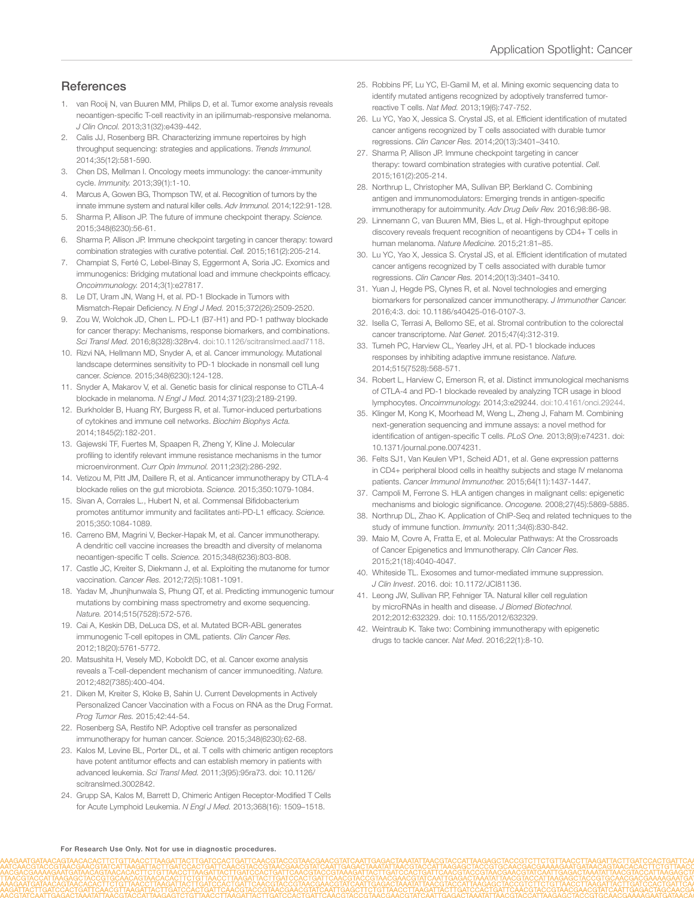## **References**

- 1. van Rooij N, van Buuren MM, Philips D, et al. Tumor exome analysis reveals neoantigen-specific T-cell reactivity in an ipilimumab-responsive melanoma. *J Clin Oncol.* 2013;31(32):e439-442.
- Calis JJ, Rosenberg BR. Characterizing immune repertoires by high throughput sequencing: strategies and applications. *Trends Immunol.*  2014;35(12):581-590.
- 3. Chen DS, Mellman I. Oncology meets immunology: the cancer-immunity cycle. *Immunity.* 2013;39(1):1-10.
- 4. Marcus A, Gowen BG, Thompson TW, et al. Recognition of tumors by the innate immune system and natural killer cells. *Adv Immunol.* 2014;122:91-128.
- 5. Sharma P, Allison JP. The future of immune checkpoint therapy. *Science.* 2015;348(6230):56-61.
- 6. Sharma P, Allison JP. Immune checkpoint targeting in cancer therapy: toward combination strategies with curative potential. *Cell.* 2015;161(2):205-214.
- 7. Champiat S, Ferté C, Lebel-Binay S, Eggermont A, Soria JC. Exomics and immunogenics: Bridging mutational load and immune checkpoints efficacy. *Oncoimmunology.* 2014;3(1):e27817.
- 8. Le DT, Uram JN, Wang H, et al. PD-1 Blockade in Tumors with Mismatch-Repair Deficiency. *N Engl J Med.* 2015;372(26):2509-2520.
- 9. Zou W, Wolchok JD, Chen L. PD-L1 (B7-H1) and PD-1 pathway blockade for cancer therapy: Mechanisms, response biomarkers, and combinations. *Sci Transl Med.* 2016;8(328):328rv4. doi:10.1126/scitranslmed.aad7118.
- 10. Rizvi NA, Hellmann MD, Snyder A, et al. Cancer immunology. Mutational landscape determines sensitivity to PD-1 blockade in nonsmall cell lung cancer. *Science.* 2015;348(6230):124-128.
- 11. Snyder A, Makarov V, et al. Genetic basis for clinical response to CTLA-4 blockade in melanoma. *N Engl J Med.* 2014;371(23):2189-2199.
- 12. Burkholder B, Huang RY, Burgess R, et al. Tumor-induced perturbations of cytokines and immune cell networks. *Biochim Biophys Acta.*  2014;1845(2):182-201.
- 13. Gajewski TF, Fuertes M, Spaapen R, Zheng Y, Kline J. Molecular profiling to identify relevant immune resistance mechanisms in the tumor microenvironment. *Curr Opin Immunol.* 2011;23(2):286-292.
- 14. Vetizou M, Pitt JM, Daillere R, et al. Anticancer immunotherapy by CTLA-4 blockade relies on the gut microbiota. *Science.* 2015;350:1079-1084.
- 15. Sivan A, Corrales L., Hubert N, et al. Commensal Bifidobacterium promotes antitumor immunity and facilitates anti-PD-L1 efficacy. *Science.*  2015;350:1084-1089.
- 16. Carreno BM, Magrini V, Becker-Hapak M, et al. Cancer immunotherapy. A dendritic cell vaccine increases the breadth and diversity of melanoma neoantigen-specific T cells. *Science.* 2015;348(6236):803-808.
- 17. Castle JC, Kreiter S, Diekmann J, et al. Exploiting the mutanome for tumor vaccination. *Cancer Res.* 2012;72(5):1081-1091.
- 18. Yadav M, Jhunjhunwala S, Phung QT, et al. Predicting immunogenic tumour mutations by combining mass spectrometry and exome sequencing. *Nature.* 2014;515(7528):572-576.
- 19. Cai A, Keskin DB, DeLuca DS, et al. Mutated BCR-ABL generates immunogenic T-cell epitopes in CML patients. *Clin Cancer Res.*  2012;18(20):5761-5772.
- 20. Matsushita H, Vesely MD, Koboldt DC, et al. Cancer exome analysis reveals a T-cell-dependent mechanism of cancer immunoediting. *Nature.*  2012;482(7385):400-404.
- 21. Diken M, Kreiter S, Kloke B, Sahin U. Current Developments in Actively Personalized Cancer Vaccination with a Focus on RNA as the Drug Format. *Prog Tumor Res.* 2015;42:44-54.
- 22. Rosenberg SA, Restifo NP. Adoptive cell transfer as personalized immunotherapy for human cancer. *Science.* 2015;348(6230):62-68.
- 23. Kalos M, Levine BL, Porter DL, et al. T cells with chimeric antigen receptors have potent antitumor effects and can establish memory in patients with advanced leukemia. *Sci Transl Med.* 2011;3(95):95ra73. doi: 10.1126/ scitranslmed.3002842.
- 24. Grupp SA, Kalos M, Barrett D, Chimeric Antigen Receptor-Modified T Cells for Acute Lymphoid Leukemia. *N Engl J Med.* 2013;368(16): 1509–1518.
- 25. Robbins PF, Lu YC, El-Gamil M, et al. Mining exomic sequencing data to identify mutated antigens recognized by adoptively transferred tumorreactive T cells. *Nat Med.* 2013;19(6):747-752.
- 26. Lu YC, Yao X, Jessica S. Crystal JS, et al. Efficient identification of mutated cancer antigens recognized by T cells associated with durable tumor regressions. *Clin Cancer Res.* 2014;20(13):3401–3410.
- 27. Sharma P, Allison JP. Immune checkpoint targeting in cancer therapy: toward combination strategies with curative potential. *Cell.*  2015;161(2):205-214.
- 28. Northrup L, Christopher MA, Sullivan BP, Berkland C. Combining antigen and immunomodulators: Emerging trends in antigen-specific immunotherapy for autoimmunity. *Adv Drug Deliv Rev.* 2016;98:86-98.
- 29. Linnemann C, van Buuren MM, Bies L, et al. High-throughput epitope discovery reveals frequent recognition of neoantigens by CD4+ T cells in human melanoma. *Nature Medicine.* 2015;21:81–85.
- 30. Lu YC, Yao X, Jessica S. Crystal JS, et al. Efficient identification of mutated cancer antigens recognized by T cells associated with durable tumor regressions. *Clin Cancer Res.* 2014;20(13):3401–3410.
- 31. Yuan J, Hegde PS, Clynes R, et al. Novel technologies and emerging biomarkers for personalized cancer immunotherapy. *J Immunother Cancer.* 2016;4:3. doi: 10.1186/s40425-016-0107-3.
- 32. Isella C, Terrasi A, Bellomo SE, et al. Stromal contribution to the colorectal cancer transcriptome. *Nat Genet.* 2015;47(4):312-319.
- 33. Tumeh PC, Harview CL, Yearley JH, et al. PD-1 blockade induces responses by inhibiting adaptive immune resistance. *Nature.*  2014;515(7528):568-571.
- 34. Robert L, Harview C, Emerson R, et al. Distinct immunological mechanisms of CTLA-4 and PD-1 blockade revealed by analyzing TCR usage in blood lymphocytes. *Oncoimmunology.* 2014;3:e29244. doi:10.4161/onci.29244.
- 35. Klinger M, Kong K, Moorhead M, Weng L, Zheng J, Faham M. Combining next-generation sequencing and immune assays: a novel method for identification of antigen-specific T cells. *PLoS One.* 2013;8(9):e74231. doi: 10.1371/journal.pone.0074231.
- 36. Felts SJ1, Van Keulen VP1, Scheid AD1, et al. Gene expression patterns in CD4+ peripheral blood cells in healthy subjects and stage IV melanoma patients. *Cancer Immunol Immunother.* 2015;64(11):1437-1447.
- 37. Campoli M, Ferrone S. HLA antigen changes in malignant cells: epigenetic mechanisms and biologic significance. *Oncogene.* 2008;27(45):5869-5885.
- 38. Northrup DL, Zhao K. Application of ChIP-Seq and related techniques to the study of immune function. *Immunity.* 2011;34(6):830-842.
- 39. Maio M, Covre A, Fratta E, et al. Molecular Pathways: At the Crossroads of Cancer Epigenetics and Immunotherapy. *Clin Cancer Res.* 2015;21(18):4040-4047.
- 40. Whiteside TL. Exosomes and tumor-mediated immune suppression. *J Clin Invest*. 2016. doi: 10.1172/JCI81136.
- 41. Leong JW, Sullivan RP, Fehniger TA. Natural killer cell regulation by microRNAs in health and disease. *J Biomed Biotechnol.* 2012;2012:632329. doi: 10.1155/2012/632329.
- 42. Weintraub K. Take two: Combining immunotherapy with epigenetic drugs to tackle cancer. *Nat Med*. 2016;22(1):8-10.